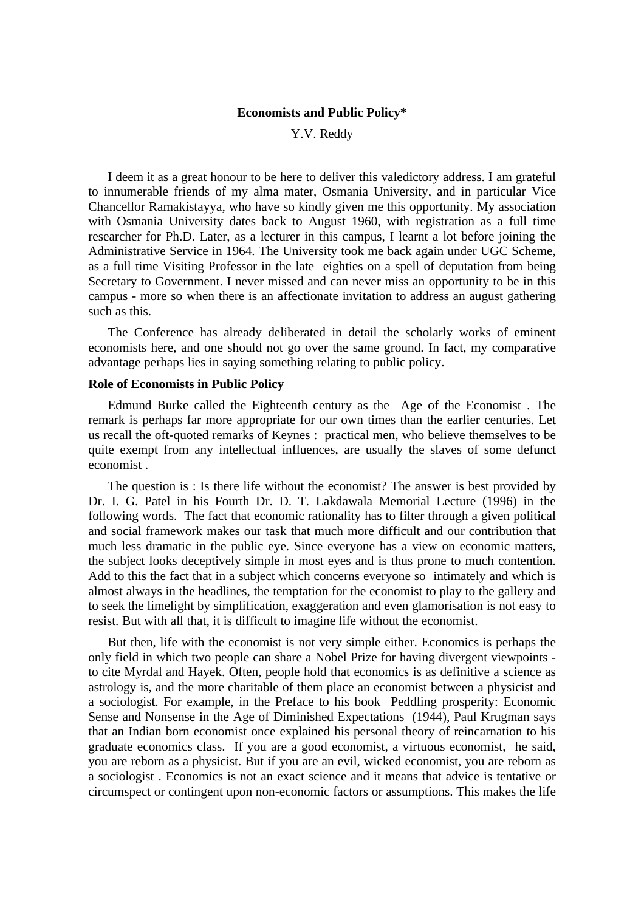# **Economists and Public Policy\***

Y.V. Reddy

I deem it as a great honour to be here to deliver this valedictory address. I am grateful to innumerable friends of my alma mater, Osmania University, and in particular Vice Chancellor Ramakistayya, who have so kindly given me this opportunity. My association with Osmania University dates back to August 1960, with registration as a full time researcher for Ph.D. Later, as a lecturer in this campus, I learnt a lot before joining the Administrative Service in 1964. The University took me back again under UGC Scheme, as a full time Visiting Professor in the late eighties on a spell of deputation from being Secretary to Government. I never missed and can never miss an opportunity to be in this campus - more so when there is an affectionate invitation to address an august gathering such as this.

The Conference has already deliberated in detail the scholarly works of eminent economists here, and one should not go over the same ground. In fact, my comparative advantage perhaps lies in saying something relating to public policy.

# **Role of Economists in Public Policy**

Edmund Burke called the Eighteenth century as the Age of the Economist . The remark is perhaps far more appropriate for our own times than the earlier centuries. Let us recall the oft-quoted remarks of Keynes : practical men, who believe themselves to be quite exempt from any intellectual influences, are usually the slaves of some defunct economist .

The question is : Is there life without the economist? The answer is best provided by Dr. I. G. Patel in his Fourth Dr. D. T. Lakdawala Memorial Lecture (1996) in the following words. The fact that economic rationality has to filter through a given political and social framework makes our task that much more difficult and our contribution that much less dramatic in the public eye. Since everyone has a view on economic matters, the subject looks deceptively simple in most eyes and is thus prone to much contention. Add to this the fact that in a subject which concerns everyone so intimately and which is almost always in the headlines, the temptation for the economist to play to the gallery and to seek the limelight by simplification, exaggeration and even glamorisation is not easy to resist. But with all that, it is difficult to imagine life without the economist.

But then, life with the economist is not very simple either. Economics is perhaps the only field in which two people can share a Nobel Prize for having divergent viewpoints to cite Myrdal and Hayek. Often, people hold that economics is as definitive a science as astrology is, and the more charitable of them place an economist between a physicist and a sociologist. For example, in the Preface to his book Peddling prosperity: Economic Sense and Nonsense in the Age of Diminished Expectations (1944), Paul Krugman says that an Indian born economist once explained his personal theory of reincarnation to his graduate economics class. If you are a good economist, a virtuous economist, he said, you are reborn as a physicist. But if you are an evil, wicked economist, you are reborn as a sociologist . Economics is not an exact science and it means that advice is tentative or circumspect or contingent upon non-economic factors or assumptions. This makes the life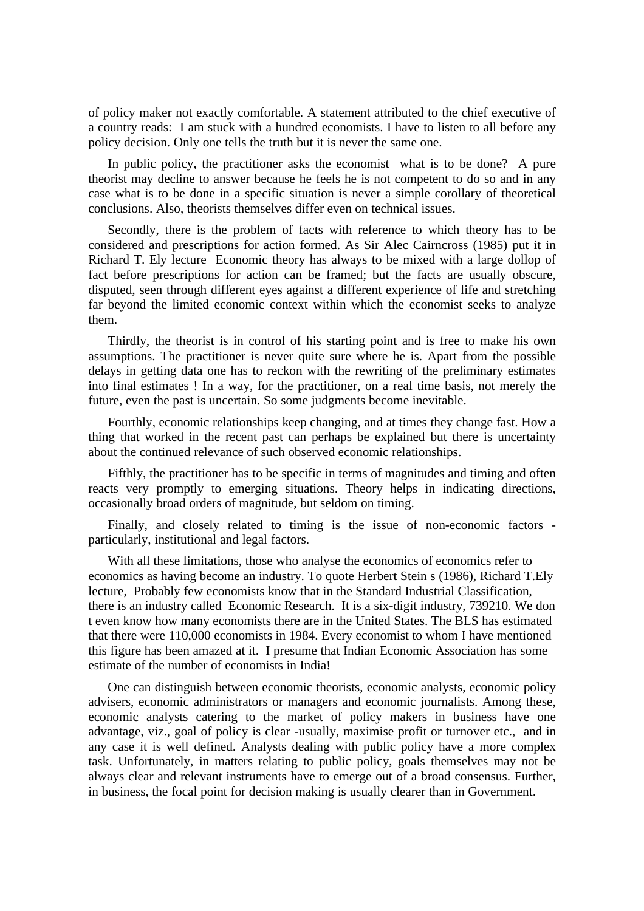of policy maker not exactly comfortable. A statement attributed to the chief executive of a country reads: I am stuck with a hundred economists. I have to listen to all before any policy decision. Only one tells the truth but it is never the same one.

In public policy, the practitioner asks the economist what is to be done? A pure theorist may decline to answer because he feels he is not competent to do so and in any case what is to be done in a specific situation is never a simple corollary of theoretical conclusions. Also, theorists themselves differ even on technical issues.

Secondly, there is the problem of facts with reference to which theory has to be considered and prescriptions for action formed. As Sir Alec Cairncross (1985) put it in Richard T. Ely lecture Economic theory has always to be mixed with a large dollop of fact before prescriptions for action can be framed; but the facts are usually obscure, disputed, seen through different eyes against a different experience of life and stretching far beyond the limited economic context within which the economist seeks to analyze them.

Thirdly, the theorist is in control of his starting point and is free to make his own assumptions. The practitioner is never quite sure where he is. Apart from the possible delays in getting data one has to reckon with the rewriting of the preliminary estimates into final estimates ! In a way, for the practitioner, on a real time basis, not merely the future, even the past is uncertain. So some judgments become inevitable.

Fourthly, economic relationships keep changing, and at times they change fast. How a thing that worked in the recent past can perhaps be explained but there is uncertainty about the continued relevance of such observed economic relationships.

Fifthly, the practitioner has to be specific in terms of magnitudes and timing and often reacts very promptly to emerging situations. Theory helps in indicating directions, occasionally broad orders of magnitude, but seldom on timing.

Finally, and closely related to timing is the issue of non-economic factors particularly, institutional and legal factors.

With all these limitations, those who analyse the economics of economics refer to economics as having become an industry. To quote Herbert Stein s (1986), Richard T.Ely lecture, Probably few economists know that in the Standard Industrial Classification, there is an industry called Economic Research. It is a six-digit industry, 739210. We don t even know how many economists there are in the United States. The BLS has estimated that there were 110,000 economists in 1984. Every economist to whom I have mentioned this figure has been amazed at it. I presume that Indian Economic Association has some estimate of the number of economists in India!

One can distinguish between economic theorists, economic analysts, economic policy advisers, economic administrators or managers and economic journalists. Among these, economic analysts catering to the market of policy makers in business have one advantage, viz., goal of policy is clear -usually, maximise profit or turnover etc., and in any case it is well defined. Analysts dealing with public policy have a more complex task. Unfortunately, in matters relating to public policy, goals themselves may not be always clear and relevant instruments have to emerge out of a broad consensus. Further, in business, the focal point for decision making is usually clearer than in Government.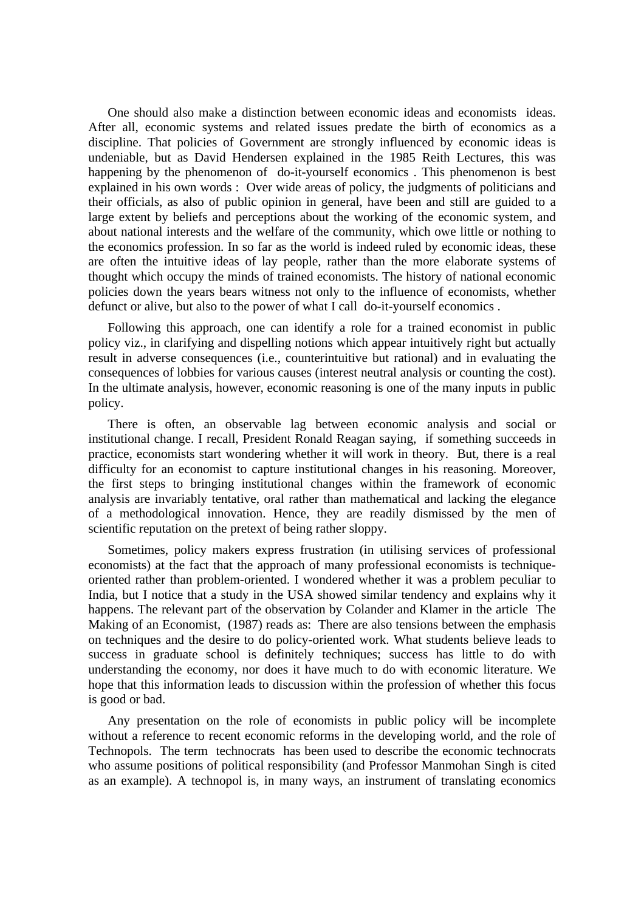One should also make a distinction between economic ideas and economists ideas. After all, economic systems and related issues predate the birth of economics as a discipline. That policies of Government are strongly influenced by economic ideas is undeniable, but as David Hendersen explained in the 1985 Reith Lectures, this was happening by the phenomenon of do-it-yourself economics . This phenomenon is best explained in his own words : Over wide areas of policy, the judgments of politicians and their officials, as also of public opinion in general, have been and still are guided to a large extent by beliefs and perceptions about the working of the economic system, and about national interests and the welfare of the community, which owe little or nothing to the economics profession. In so far as the world is indeed ruled by economic ideas, these are often the intuitive ideas of lay people, rather than the more elaborate systems of thought which occupy the minds of trained economists. The history of national economic policies down the years bears witness not only to the influence of economists, whether defunct or alive, but also to the power of what I call do-it-yourself economics .

Following this approach, one can identify a role for a trained economist in public policy viz., in clarifying and dispelling notions which appear intuitively right but actually result in adverse consequences (i.e., counterintuitive but rational) and in evaluating the consequences of lobbies for various causes (interest neutral analysis or counting the cost). In the ultimate analysis, however, economic reasoning is one of the many inputs in public policy.

There is often, an observable lag between economic analysis and social or institutional change. I recall, President Ronald Reagan saying, if something succeeds in practice, economists start wondering whether it will work in theory. But, there is a real difficulty for an economist to capture institutional changes in his reasoning. Moreover, the first steps to bringing institutional changes within the framework of economic analysis are invariably tentative, oral rather than mathematical and lacking the elegance of a methodological innovation. Hence, they are readily dismissed by the men of scientific reputation on the pretext of being rather sloppy.

Sometimes, policy makers express frustration (in utilising services of professional economists) at the fact that the approach of many professional economists is techniqueoriented rather than problem-oriented. I wondered whether it was a problem peculiar to India, but I notice that a study in the USA showed similar tendency and explains why it happens. The relevant part of the observation by Colander and Klamer in the article The Making of an Economist, (1987) reads as: There are also tensions between the emphasis on techniques and the desire to do policy-oriented work. What students believe leads to success in graduate school is definitely techniques; success has little to do with understanding the economy, nor does it have much to do with economic literature. We hope that this information leads to discussion within the profession of whether this focus is good or bad.

Any presentation on the role of economists in public policy will be incomplete without a reference to recent economic reforms in the developing world, and the role of Technopols. The term technocrats has been used to describe the economic technocrats who assume positions of political responsibility (and Professor Manmohan Singh is cited as an example). A technopol is, in many ways, an instrument of translating economics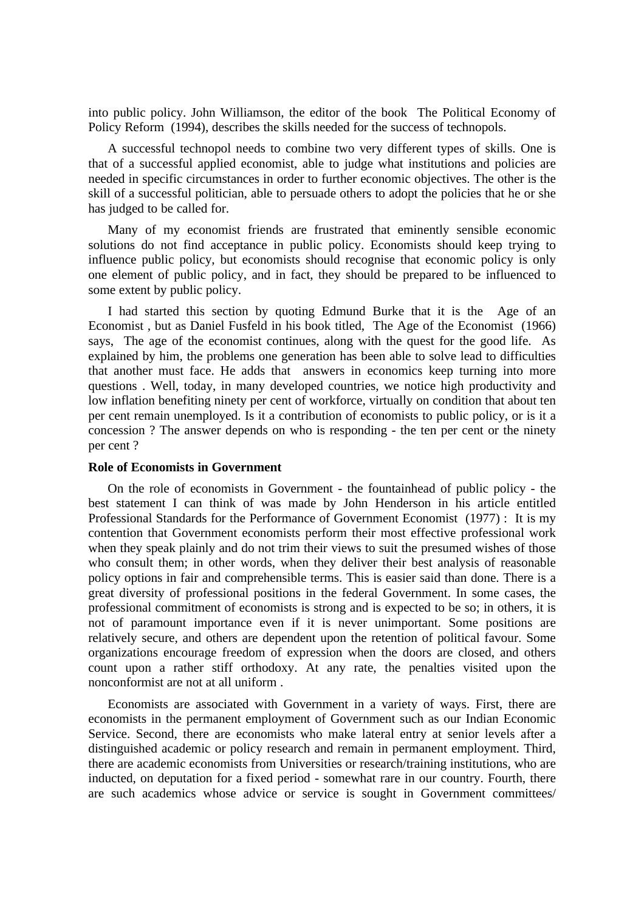into public policy. John Williamson, the editor of the book The Political Economy of Policy Reform (1994), describes the skills needed for the success of technopols.

A successful technopol needs to combine two very different types of skills. One is that of a successful applied economist, able to judge what institutions and policies are needed in specific circumstances in order to further economic objectives. The other is the skill of a successful politician, able to persuade others to adopt the policies that he or she has judged to be called for.

Many of my economist friends are frustrated that eminently sensible economic solutions do not find acceptance in public policy. Economists should keep trying to influence public policy, but economists should recognise that economic policy is only one element of public policy, and in fact, they should be prepared to be influenced to some extent by public policy.

I had started this section by quoting Edmund Burke that it is the Age of an Economist , but as Daniel Fusfeld in his book titled, The Age of the Economist (1966) says, The age of the economist continues, along with the quest for the good life. As explained by him, the problems one generation has been able to solve lead to difficulties that another must face. He adds that answers in economics keep turning into more questions . Well, today, in many developed countries, we notice high productivity and low inflation benefiting ninety per cent of workforce, virtually on condition that about ten per cent remain unemployed. Is it a contribution of economists to public policy, or is it a concession ? The answer depends on who is responding - the ten per cent or the ninety per cent ?

# **Role of Economists in Government**

On the role of economists in Government - the fountainhead of public policy - the best statement I can think of was made by John Henderson in his article entitled Professional Standards for the Performance of Government Economist (1977) : It is my contention that Government economists perform their most effective professional work when they speak plainly and do not trim their views to suit the presumed wishes of those who consult them; in other words, when they deliver their best analysis of reasonable policy options in fair and comprehensible terms. This is easier said than done. There is a great diversity of professional positions in the federal Government. In some cases, the professional commitment of economists is strong and is expected to be so; in others, it is not of paramount importance even if it is never unimportant. Some positions are relatively secure, and others are dependent upon the retention of political favour. Some organizations encourage freedom of expression when the doors are closed, and others count upon a rather stiff orthodoxy. At any rate, the penalties visited upon the nonconformist are not at all uniform .

Economists are associated with Government in a variety of ways. First, there are economists in the permanent employment of Government such as our Indian Economic Service. Second, there are economists who make lateral entry at senior levels after a distinguished academic or policy research and remain in permanent employment. Third, there are academic economists from Universities or research/training institutions, who are inducted, on deputation for a fixed period - somewhat rare in our country. Fourth, there are such academics whose advice or service is sought in Government committees/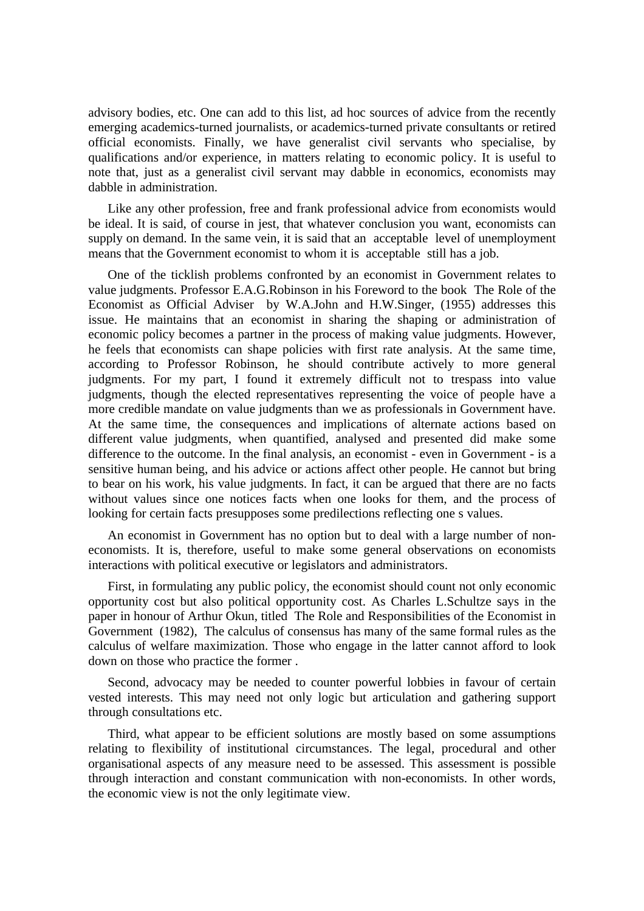advisory bodies, etc. One can add to this list, ad hoc sources of advice from the recently emerging academics-turned journalists, or academics-turned private consultants or retired official economists. Finally, we have generalist civil servants who specialise, by qualifications and/or experience, in matters relating to economic policy. It is useful to note that, just as a generalist civil servant may dabble in economics, economists may dabble in administration.

Like any other profession, free and frank professional advice from economists would be ideal. It is said, of course in jest, that whatever conclusion you want, economists can supply on demand. In the same vein, it is said that an acceptable level of unemployment means that the Government economist to whom it is acceptable still has a job.

One of the ticklish problems confronted by an economist in Government relates to value judgments. Professor E.A.G.Robinson in his Foreword to the book The Role of the Economist as Official Adviser by W.A.John and H.W.Singer, (1955) addresses this issue. He maintains that an economist in sharing the shaping or administration of economic policy becomes a partner in the process of making value judgments. However, he feels that economists can shape policies with first rate analysis. At the same time, according to Professor Robinson, he should contribute actively to more general judgments. For my part, I found it extremely difficult not to trespass into value judgments, though the elected representatives representing the voice of people have a more credible mandate on value judgments than we as professionals in Government have. At the same time, the consequences and implications of alternate actions based on different value judgments, when quantified, analysed and presented did make some difference to the outcome. In the final analysis, an economist - even in Government - is a sensitive human being, and his advice or actions affect other people. He cannot but bring to bear on his work, his value judgments. In fact, it can be argued that there are no facts without values since one notices facts when one looks for them, and the process of looking for certain facts presupposes some predilections reflecting one s values.

An economist in Government has no option but to deal with a large number of noneconomists. It is, therefore, useful to make some general observations on economists interactions with political executive or legislators and administrators.

First, in formulating any public policy, the economist should count not only economic opportunity cost but also political opportunity cost. As Charles L.Schultze says in the paper in honour of Arthur Okun, titled The Role and Responsibilities of the Economist in Government (1982), The calculus of consensus has many of the same formal rules as the calculus of welfare maximization. Those who engage in the latter cannot afford to look down on those who practice the former .

Second, advocacy may be needed to counter powerful lobbies in favour of certain vested interests. This may need not only logic but articulation and gathering support through consultations etc.

Third, what appear to be efficient solutions are mostly based on some assumptions relating to flexibility of institutional circumstances. The legal, procedural and other organisational aspects of any measure need to be assessed. This assessment is possible through interaction and constant communication with non-economists. In other words, the economic view is not the only legitimate view.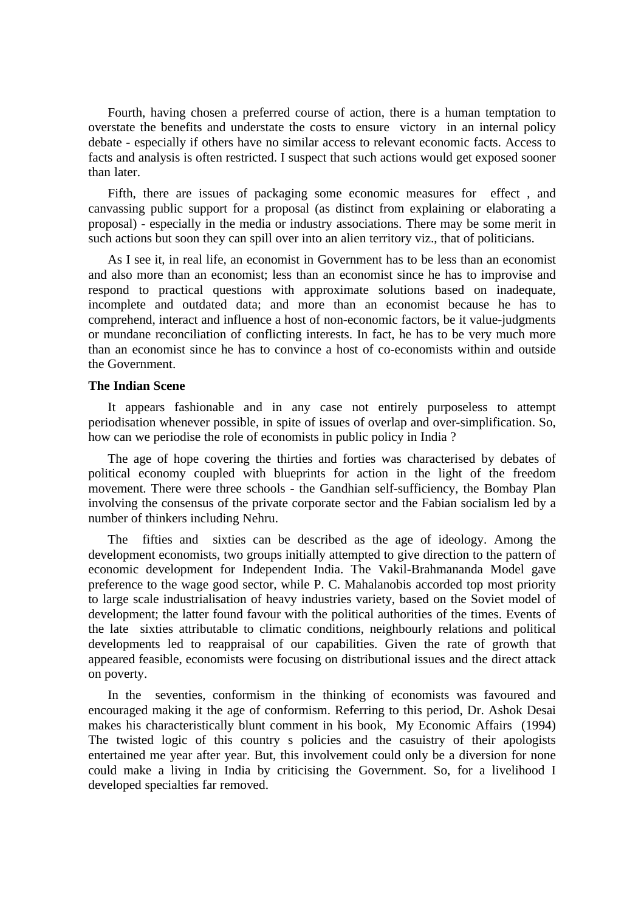Fourth, having chosen a preferred course of action, there is a human temptation to overstate the benefits and understate the costs to ensure victory in an internal policy debate - especially if others have no similar access to relevant economic facts. Access to facts and analysis is often restricted. I suspect that such actions would get exposed sooner than later.

Fifth, there are issues of packaging some economic measures for effect , and canvassing public support for a proposal (as distinct from explaining or elaborating a proposal) - especially in the media or industry associations. There may be some merit in such actions but soon they can spill over into an alien territory viz., that of politicians.

As I see it, in real life, an economist in Government has to be less than an economist and also more than an economist; less than an economist since he has to improvise and respond to practical questions with approximate solutions based on inadequate, incomplete and outdated data; and more than an economist because he has to comprehend, interact and influence a host of non-economic factors, be it value-judgments or mundane reconciliation of conflicting interests. In fact, he has to be very much more than an economist since he has to convince a host of co-economists within and outside the Government.

## **The Indian Scene**

It appears fashionable and in any case not entirely purposeless to attempt periodisation whenever possible, in spite of issues of overlap and over-simplification. So, how can we periodise the role of economists in public policy in India ?

The age of hope covering the thirties and forties was characterised by debates of political economy coupled with blueprints for action in the light of the freedom movement. There were three schools - the Gandhian self-sufficiency, the Bombay Plan involving the consensus of the private corporate sector and the Fabian socialism led by a number of thinkers including Nehru.

The fifties and sixties can be described as the age of ideology. Among the development economists, two groups initially attempted to give direction to the pattern of economic development for Independent India. The Vakil-Brahmananda Model gave preference to the wage good sector, while P. C. Mahalanobis accorded top most priority to large scale industrialisation of heavy industries variety, based on the Soviet model of development; the latter found favour with the political authorities of the times. Events of the late sixties attributable to climatic conditions, neighbourly relations and political developments led to reappraisal of our capabilities. Given the rate of growth that appeared feasible, economists were focusing on distributional issues and the direct attack on poverty.

In the seventies, conformism in the thinking of economists was favoured and encouraged making it the age of conformism. Referring to this period, Dr. Ashok Desai makes his characteristically blunt comment in his book, My Economic Affairs (1994) The twisted logic of this country s policies and the casuistry of their apologists entertained me year after year. But, this involvement could only be a diversion for none could make a living in India by criticising the Government. So, for a livelihood I developed specialties far removed.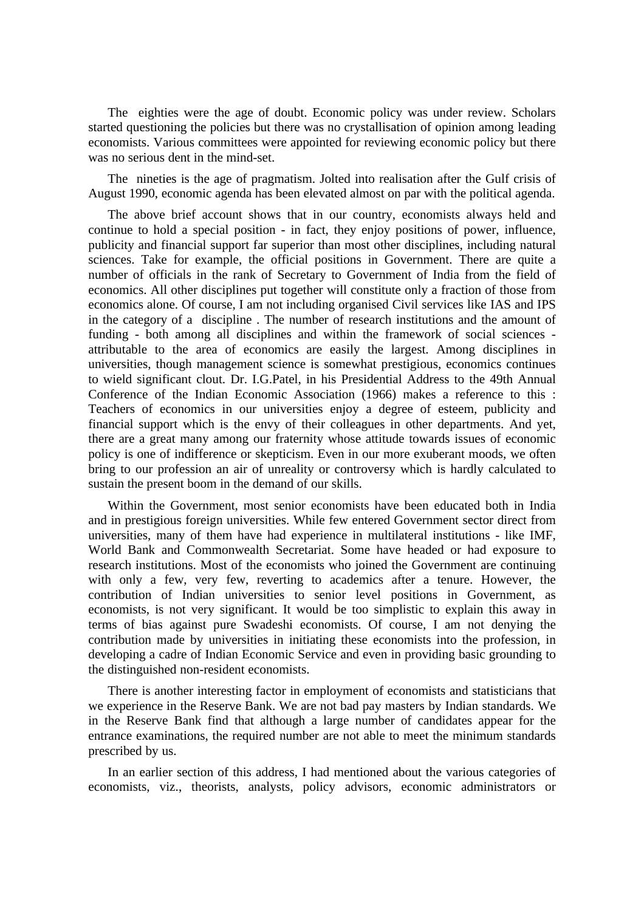The eighties were the age of doubt. Economic policy was under review. Scholars started questioning the policies but there was no crystallisation of opinion among leading economists. Various committees were appointed for reviewing economic policy but there was no serious dent in the mind-set.

The nineties is the age of pragmatism. Jolted into realisation after the Gulf crisis of August 1990, economic agenda has been elevated almost on par with the political agenda.

The above brief account shows that in our country, economists always held and continue to hold a special position - in fact, they enjoy positions of power, influence, publicity and financial support far superior than most other disciplines, including natural sciences. Take for example, the official positions in Government. There are quite a number of officials in the rank of Secretary to Government of India from the field of economics. All other disciplines put together will constitute only a fraction of those from economics alone. Of course, I am not including organised Civil services like IAS and IPS in the category of a discipline . The number of research institutions and the amount of funding - both among all disciplines and within the framework of social sciences attributable to the area of economics are easily the largest. Among disciplines in universities, though management science is somewhat prestigious, economics continues to wield significant clout. Dr. I.G.Patel, in his Presidential Address to the 49th Annual Conference of the Indian Economic Association (1966) makes a reference to this : Teachers of economics in our universities enjoy a degree of esteem, publicity and financial support which is the envy of their colleagues in other departments. And yet, there are a great many among our fraternity whose attitude towards issues of economic policy is one of indifference or skepticism. Even in our more exuberant moods, we often bring to our profession an air of unreality or controversy which is hardly calculated to sustain the present boom in the demand of our skills.

Within the Government, most senior economists have been educated both in India and in prestigious foreign universities. While few entered Government sector direct from universities, many of them have had experience in multilateral institutions - like IMF, World Bank and Commonwealth Secretariat. Some have headed or had exposure to research institutions. Most of the economists who joined the Government are continuing with only a few, very few, reverting to academics after a tenure. However, the contribution of Indian universities to senior level positions in Government, as economists, is not very significant. It would be too simplistic to explain this away in terms of bias against pure Swadeshi economists. Of course, I am not denying the contribution made by universities in initiating these economists into the profession, in developing a cadre of Indian Economic Service and even in providing basic grounding to the distinguished non-resident economists.

There is another interesting factor in employment of economists and statisticians that we experience in the Reserve Bank. We are not bad pay masters by Indian standards. We in the Reserve Bank find that although a large number of candidates appear for the entrance examinations, the required number are not able to meet the minimum standards prescribed by us.

In an earlier section of this address, I had mentioned about the various categories of economists, viz., theorists, analysts, policy advisors, economic administrators or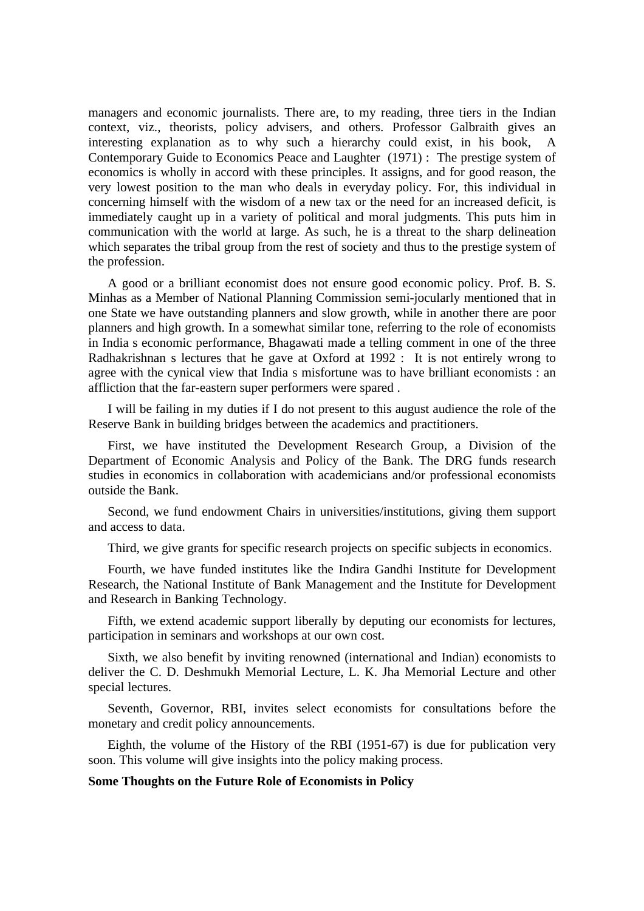managers and economic journalists. There are, to my reading, three tiers in the Indian context, viz., theorists, policy advisers, and others. Professor Galbraith gives an interesting explanation as to why such a hierarchy could exist, in his book, A Contemporary Guide to Economics Peace and Laughter (1971) : The prestige system of economics is wholly in accord with these principles. It assigns, and for good reason, the very lowest position to the man who deals in everyday policy. For, this individual in concerning himself with the wisdom of a new tax or the need for an increased deficit, is immediately caught up in a variety of political and moral judgments. This puts him in communication with the world at large. As such, he is a threat to the sharp delineation which separates the tribal group from the rest of society and thus to the prestige system of the profession.

A good or a brilliant economist does not ensure good economic policy. Prof. B. S. Minhas as a Member of National Planning Commission semi-jocularly mentioned that in one State we have outstanding planners and slow growth, while in another there are poor planners and high growth. In a somewhat similar tone, referring to the role of economists in India s economic performance, Bhagawati made a telling comment in one of the three Radhakrishnan s lectures that he gave at Oxford at 1992 : It is not entirely wrong to agree with the cynical view that India s misfortune was to have brilliant economists : an affliction that the far-eastern super performers were spared .

I will be failing in my duties if I do not present to this august audience the role of the Reserve Bank in building bridges between the academics and practitioners.

First, we have instituted the Development Research Group, a Division of the Department of Economic Analysis and Policy of the Bank. The DRG funds research studies in economics in collaboration with academicians and/or professional economists outside the Bank.

Second, we fund endowment Chairs in universities/institutions, giving them support and access to data.

Third, we give grants for specific research projects on specific subjects in economics.

Fourth, we have funded institutes like the Indira Gandhi Institute for Development Research, the National Institute of Bank Management and the Institute for Development and Research in Banking Technology.

Fifth, we extend academic support liberally by deputing our economists for lectures, participation in seminars and workshops at our own cost.

Sixth, we also benefit by inviting renowned (international and Indian) economists to deliver the C. D. Deshmukh Memorial Lecture, L. K. Jha Memorial Lecture and other special lectures.

Seventh, Governor, RBI, invites select economists for consultations before the monetary and credit policy announcements.

Eighth, the volume of the History of the RBI (1951-67) is due for publication very soon. This volume will give insights into the policy making process.

# **Some Thoughts on the Future Role of Economists in Policy**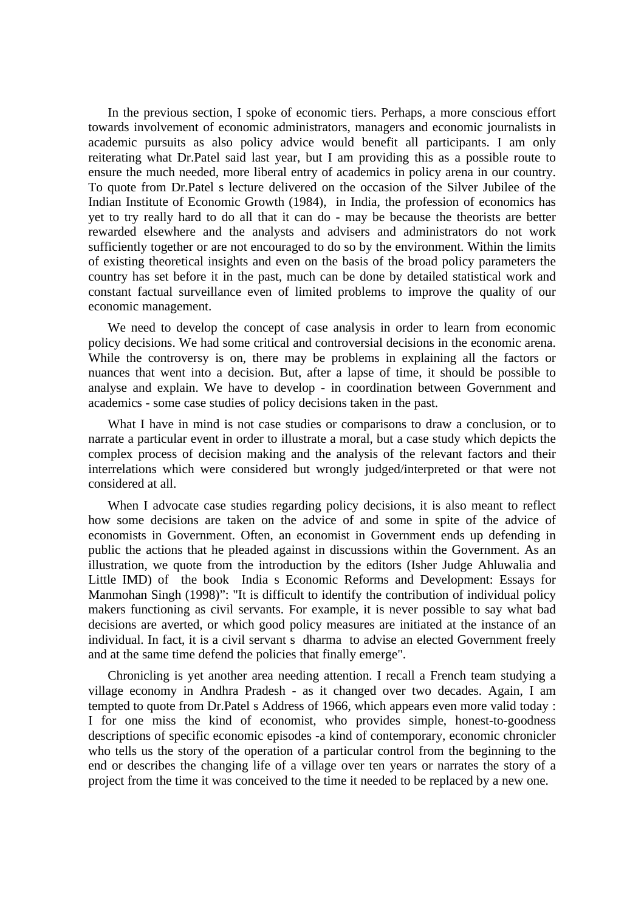In the previous section, I spoke of economic tiers. Perhaps, a more conscious effort towards involvement of economic administrators, managers and economic journalists in academic pursuits as also policy advice would benefit all participants. I am only reiterating what Dr.Patel said last year, but I am providing this as a possible route to ensure the much needed, more liberal entry of academics in policy arena in our country. To quote from Dr.Patel s lecture delivered on the occasion of the Silver Jubilee of the Indian Institute of Economic Growth (1984), in India, the profession of economics has yet to try really hard to do all that it can do - may be because the theorists are better rewarded elsewhere and the analysts and advisers and administrators do not work sufficiently together or are not encouraged to do so by the environment. Within the limits of existing theoretical insights and even on the basis of the broad policy parameters the country has set before it in the past, much can be done by detailed statistical work and constant factual surveillance even of limited problems to improve the quality of our economic management.

We need to develop the concept of case analysis in order to learn from economic policy decisions. We had some critical and controversial decisions in the economic arena. While the controversy is on, there may be problems in explaining all the factors or nuances that went into a decision. But, after a lapse of time, it should be possible to analyse and explain. We have to develop - in coordination between Government and academics - some case studies of policy decisions taken in the past.

What I have in mind is not case studies or comparisons to draw a conclusion, or to narrate a particular event in order to illustrate a moral, but a case study which depicts the complex process of decision making and the analysis of the relevant factors and their interrelations which were considered but wrongly judged/interpreted or that were not considered at all.

When I advocate case studies regarding policy decisions, it is also meant to reflect how some decisions are taken on the advice of and some in spite of the advice of economists in Government. Often, an economist in Government ends up defending in public the actions that he pleaded against in discussions within the Government. As an illustration, we quote from the introduction by the editors (Isher Judge Ahluwalia and Little IMD) of the book India s Economic Reforms and Development: Essays for Manmohan Singh (1998)": "It is difficult to identify the contribution of individual policy makers functioning as civil servants. For example, it is never possible to say what bad decisions are averted, or which good policy measures are initiated at the instance of an individual. In fact, it is a civil servant s dharma to advise an elected Government freely and at the same time defend the policies that finally emerge".

Chronicling is yet another area needing attention. I recall a French team studying a village economy in Andhra Pradesh - as it changed over two decades. Again, I am tempted to quote from Dr.Patel s Address of 1966, which appears even more valid today : I for one miss the kind of economist, who provides simple, honest-to-goodness descriptions of specific economic episodes -a kind of contemporary, economic chronicler who tells us the story of the operation of a particular control from the beginning to the end or describes the changing life of a village over ten years or narrates the story of a project from the time it was conceived to the time it needed to be replaced by a new one.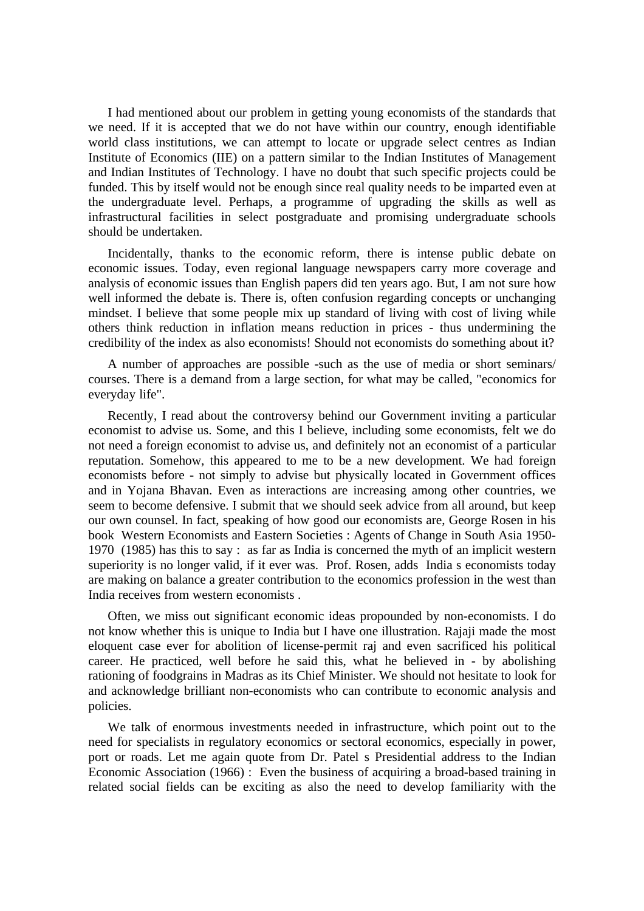I had mentioned about our problem in getting young economists of the standards that we need. If it is accepted that we do not have within our country, enough identifiable world class institutions, we can attempt to locate or upgrade select centres as Indian Institute of Economics (IIE) on a pattern similar to the Indian Institutes of Management and Indian Institutes of Technology. I have no doubt that such specific projects could be funded. This by itself would not be enough since real quality needs to be imparted even at the undergraduate level. Perhaps, a programme of upgrading the skills as well as infrastructural facilities in select postgraduate and promising undergraduate schools should be undertaken.

Incidentally, thanks to the economic reform, there is intense public debate on economic issues. Today, even regional language newspapers carry more coverage and analysis of economic issues than English papers did ten years ago. But, I am not sure how well informed the debate is. There is, often confusion regarding concepts or unchanging mindset. I believe that some people mix up standard of living with cost of living while others think reduction in inflation means reduction in prices - thus undermining the credibility of the index as also economists! Should not economists do something about it?

A number of approaches are possible -such as the use of media or short seminars/ courses. There is a demand from a large section, for what may be called, "economics for everyday life".

Recently, I read about the controversy behind our Government inviting a particular economist to advise us. Some, and this I believe, including some economists, felt we do not need a foreign economist to advise us, and definitely not an economist of a particular reputation. Somehow, this appeared to me to be a new development. We had foreign economists before - not simply to advise but physically located in Government offices and in Yojana Bhavan. Even as interactions are increasing among other countries, we seem to become defensive. I submit that we should seek advice from all around, but keep our own counsel. In fact, speaking of how good our economists are, George Rosen in his book Western Economists and Eastern Societies : Agents of Change in South Asia 1950- 1970 (1985) has this to say : as far as India is concerned the myth of an implicit western superiority is no longer valid, if it ever was. Prof. Rosen, adds India s economists today are making on balance a greater contribution to the economics profession in the west than India receives from western economists .

Often, we miss out significant economic ideas propounded by non-economists. I do not know whether this is unique to India but I have one illustration. Rajaji made the most eloquent case ever for abolition of license-permit raj and even sacrificed his political career. He practiced, well before he said this, what he believed in - by abolishing rationing of foodgrains in Madras as its Chief Minister. We should not hesitate to look for and acknowledge brilliant non-economists who can contribute to economic analysis and policies.

We talk of enormous investments needed in infrastructure, which point out to the need for specialists in regulatory economics or sectoral economics, especially in power, port or roads. Let me again quote from Dr. Patel s Presidential address to the Indian Economic Association (1966) : Even the business of acquiring a broad-based training in related social fields can be exciting as also the need to develop familiarity with the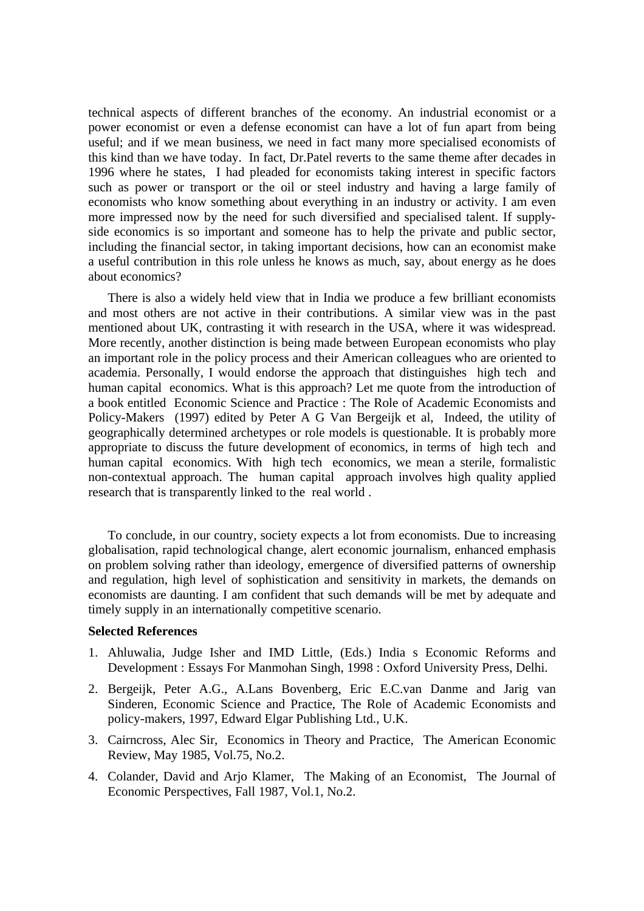technical aspects of different branches of the economy. An industrial economist or a power economist or even a defense economist can have a lot of fun apart from being useful; and if we mean business, we need in fact many more specialised economists of this kind than we have today. In fact, Dr.Patel reverts to the same theme after decades in 1996 where he states, I had pleaded for economists taking interest in specific factors such as power or transport or the oil or steel industry and having a large family of economists who know something about everything in an industry or activity. I am even more impressed now by the need for such diversified and specialised talent. If supplyside economics is so important and someone has to help the private and public sector, including the financial sector, in taking important decisions, how can an economist make a useful contribution in this role unless he knows as much, say, about energy as he does about economics?

There is also a widely held view that in India we produce a few brilliant economists and most others are not active in their contributions. A similar view was in the past mentioned about UK, contrasting it with research in the USA, where it was widespread. More recently, another distinction is being made between European economists who play an important role in the policy process and their American colleagues who are oriented to academia. Personally, I would endorse the approach that distinguishes high tech and human capital economics. What is this approach? Let me quote from the introduction of a book entitled Economic Science and Practice : The Role of Academic Economists and Policy-Makers (1997) edited by Peter A G Van Bergeijk et al, Indeed, the utility of geographically determined archetypes or role models is questionable. It is probably more appropriate to discuss the future development of economics, in terms of high tech and human capital economics. With high tech economics, we mean a sterile, formalistic non-contextual approach. The human capital approach involves high quality applied research that is transparently linked to the real world .

To conclude, in our country, society expects a lot from economists. Due to increasing globalisation, rapid technological change, alert economic journalism, enhanced emphasis on problem solving rather than ideology, emergence of diversified patterns of ownership and regulation, high level of sophistication and sensitivity in markets, the demands on economists are daunting. I am confident that such demands will be met by adequate and timely supply in an internationally competitive scenario.

## **Selected References**

- 1. Ahluwalia, Judge Isher and IMD Little, (Eds.) India s Economic Reforms and Development : Essays For Manmohan Singh, 1998 : Oxford University Press, Delhi.
- 2. Bergeijk, Peter A.G., A.Lans Bovenberg, Eric E.C.van Danme and Jarig van Sinderen, Economic Science and Practice, The Role of Academic Economists and policy-makers, 1997, Edward Elgar Publishing Ltd., U.K.
- 3. Cairncross, Alec Sir, Economics in Theory and Practice, The American Economic Review, May 1985, Vol.75, No.2.
- 4. Colander, David and Arjo Klamer, The Making of an Economist, The Journal of Economic Perspectives, Fall 1987, Vol.1, No.2.